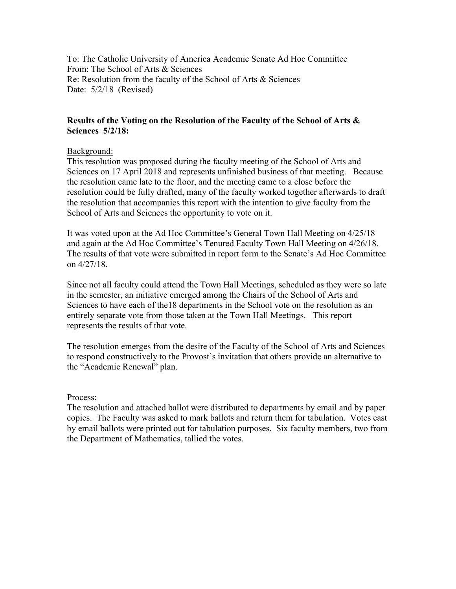To: The Catholic University of America Academic Senate Ad Hoc Committee From: The School of Arts & Sciences Re: Resolution from the faculty of the School of Arts & Sciences Date:  $5/2/18$  (Revised)

## **Results of the Voting on the Resolution of the Faculty of the School of Arts & Sciences 5/2/18:**

### Background:

This resolution was proposed during the faculty meeting of the School of Arts and Sciences on 17 April 2018 and represents unfinished business of that meeting. Because the resolution came late to the floor, and the meeting came to a close before the resolution could be fully drafted, many of the faculty worked together afterwards to draft the resolution that accompanies this report with the intention to give faculty from the School of Arts and Sciences the opportunity to vote on it.

It was voted upon at the Ad Hoc Committee's General Town Hall Meeting on 4/25/18 and again at the Ad Hoc Committee's Tenured Faculty Town Hall Meeting on 4/26/18. The results of that vote were submitted in report form to the Senate's Ad Hoc Committee on 4/27/18.

Since not all faculty could attend the Town Hall Meetings, scheduled as they were so late in the semester, an initiative emerged among the Chairs of the School of Arts and Sciences to have each of the18 departments in the School vote on the resolution as an entirely separate vote from those taken at the Town Hall Meetings. This report represents the results of that vote.

The resolution emerges from the desire of the Faculty of the School of Arts and Sciences to respond constructively to the Provost's invitation that others provide an alternative to the "Academic Renewal" plan.

#### Process:

The resolution and attached ballot were distributed to departments by email and by paper copies. The Faculty was asked to mark ballots and return them for tabulation. Votes cast by email ballots were printed out for tabulation purposes. Six faculty members, two from the Department of Mathematics, tallied the votes.